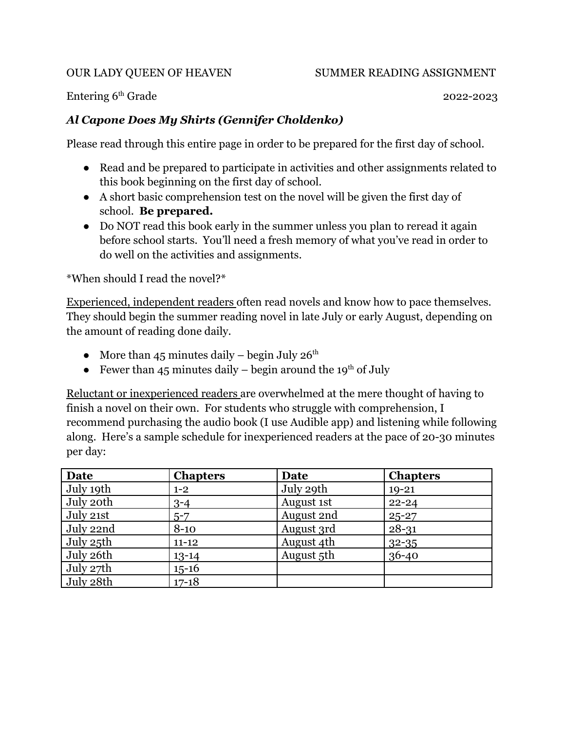Entering 6<sup>th</sup> Grade 2022-2023

#### *Al Capone Does My Shirts (Gennifer Choldenko)*

Please read through this entire page in order to be prepared for the first day of school.

- Read and be prepared to participate in activities and other assignments related to this book beginning on the first day of school.
- A short basic comprehension test on the novel will be given the first day of school. **Be prepared.**
- Do NOT read this book early in the summer unless you plan to reread it again before school starts. You'll need a fresh memory of what you've read in order to do well on the activities and assignments.

\*When should I read the novel?\*

Experienced, independent readers often read novels and know how to pace themselves. They should begin the summer reading novel in late July or early August, depending on the amount of reading done daily.

- More than 45 minutes daily begin July  $26<sup>th</sup>$
- Fewer than 45 minutes daily begin around the 19<sup>th</sup> of July

Reluctant or inexperienced readers are overwhelmed at the mere thought of having to finish a novel on their own. For students who struggle with comprehension, I recommend purchasing the audio book (I use Audible app) and listening while following along. Here's a sample schedule for inexperienced readers at the pace of 20-30 minutes per day:

| <b>Date</b> | <b>Chapters</b> | Date       | <b>Chapters</b> |
|-------------|-----------------|------------|-----------------|
| July 19th   | $1 - 2$         | July 29th  | $19 - 21$       |
| July 20th   | $3 - 4$         | August 1st | $22 - 24$       |
| July 21st   | $5 - 7$         | August 2nd | $25 - 27$       |
| July 22nd   | $8 - 10$        | August 3rd | $28 - 31$       |
| July 25th   | $11 - 12$       | August 4th | $32 - 35$       |
| July 26th   | $13 - 14$       | August 5th | $36 - 40$       |
| July 27th   | $15 - 16$       |            |                 |
| July 28th   | $17 - 18$       |            |                 |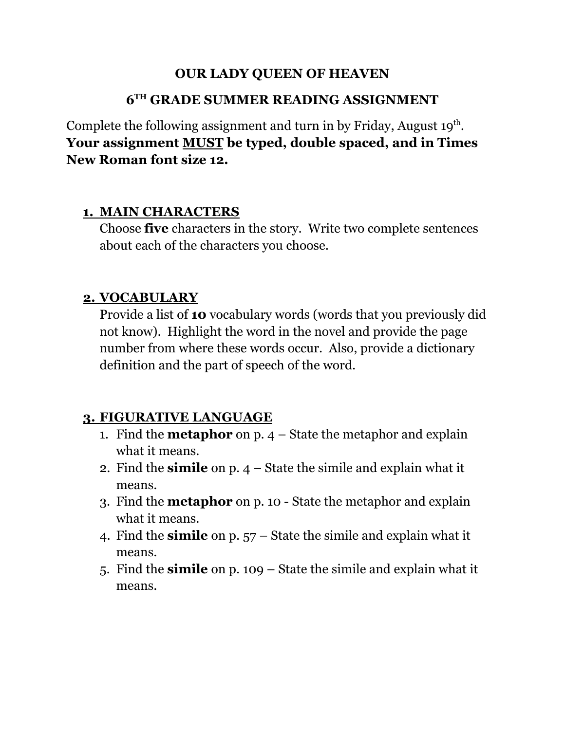#### **OUR LADY QUEEN OF HEAVEN**

#### **6 TH GRADE SUMMER READING ASSIGNMENT**

Complete the following assignment and turn in by Friday, August  $19<sup>th</sup>$ . **Your assignment MUST be typed, double spaced, and in Times New Roman font size 12.**

#### **1. MAIN CHARACTERS**

Choose **five** characters in the story. Write two complete sentences about each of the characters you choose.

## **2. VOCABULARY**

Provide a list of **10** vocabulary words (words that you previously did not know). Highlight the word in the novel and provide the page number from where these words occur. Also, provide a dictionary definition and the part of speech of the word.

## **3. FIGURATIVE LANGUAGE**

- 1. Find the **metaphor** on p. 4 State the metaphor and explain what it means.
- 2. Find the **simile** on p. 4 State the simile and explain what it means.
- 3. Find the **metaphor** on p. 10 State the metaphor and explain what it means.
- 4. Find the **simile** on p. 57 State the simile and explain what it means.
- 5. Find the **simile** on p. 109 State the simile and explain what it means.